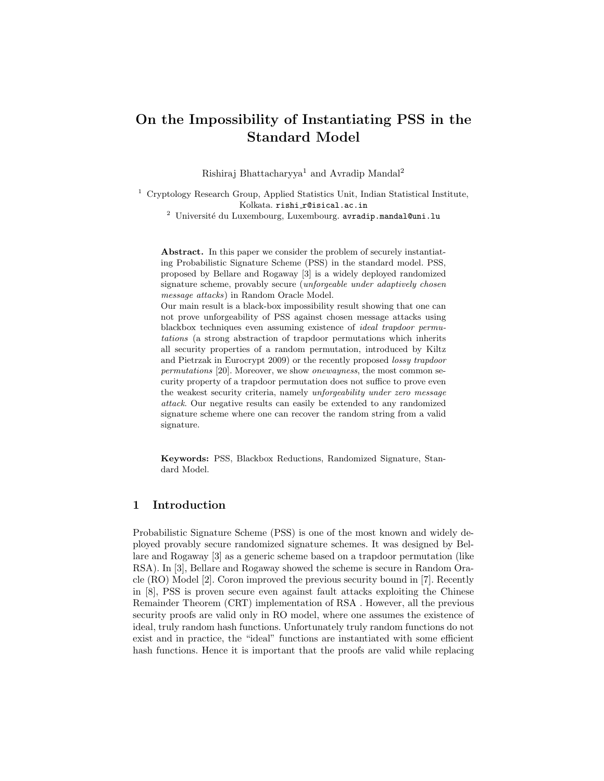# On the Impossibility of Instantiating PSS in the Standard Model

Rishiraj Bhattacharyya<sup>1</sup> and Avradip Mandal<sup>2</sup>

<sup>1</sup> Cryptology Research Group, Applied Statistics Unit, Indian Statistical Institute, Kolkata. rishi r@isical.ac.in

 $^2$ Université du Luxembourg, Luxembourg. avradip.mandal@uni.lu

Abstract. In this paper we consider the problem of securely instantiating Probabilistic Signature Scheme (PSS) in the standard model. PSS, proposed by Bellare and Rogaway [3] is a widely deployed randomized signature scheme, provably secure *(unforgeable under adaptively chosen*) message attacks) in Random Oracle Model.

Our main result is a black-box impossibility result showing that one can not prove unforgeability of PSS against chosen message attacks using blackbox techniques even assuming existence of ideal trapdoor permutations (a strong abstraction of trapdoor permutations which inherits all security properties of a random permutation, introduced by Kiltz and Pietrzak in Eurocrypt 2009) or the recently proposed lossy trapdoor permutations [20]. Moreover, we show onewayness, the most common security property of a trapdoor permutation does not suffice to prove even the weakest security criteria, namely unforgeability under zero message attack. Our negative results can easily be extended to any randomized signature scheme where one can recover the random string from a valid signature.

Keywords: PSS, Blackbox Reductions, Randomized Signature, Standard Model.

## 1 Introduction

Probabilistic Signature Scheme (PSS) is one of the most known and widely deployed provably secure randomized signature schemes. It was designed by Bellare and Rogaway [3] as a generic scheme based on a trapdoor permutation (like RSA). In [3], Bellare and Rogaway showed the scheme is secure in Random Oracle (RO) Model [2]. Coron improved the previous security bound in [7]. Recently in [8], PSS is proven secure even against fault attacks exploiting the Chinese Remainder Theorem (CRT) implementation of RSA . However, all the previous security proofs are valid only in RO model, where one assumes the existence of ideal, truly random hash functions. Unfortunately truly random functions do not exist and in practice, the "ideal" functions are instantiated with some efficient hash functions. Hence it is important that the proofs are valid while replacing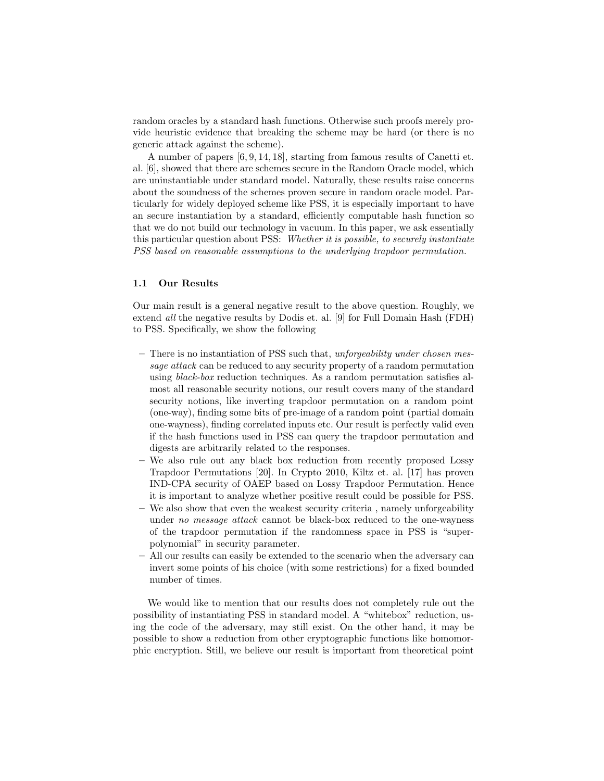random oracles by a standard hash functions. Otherwise such proofs merely provide heuristic evidence that breaking the scheme may be hard (or there is no generic attack against the scheme).

A number of papers [6, 9, 14, 18], starting from famous results of Canetti et. al. [6], showed that there are schemes secure in the Random Oracle model, which are uninstantiable under standard model. Naturally, these results raise concerns about the soundness of the schemes proven secure in random oracle model. Particularly for widely deployed scheme like PSS, it is especially important to have an secure instantiation by a standard, efficiently computable hash function so that we do not build our technology in vacuum. In this paper, we ask essentially this particular question about PSS: Whether it is possible, to securely instantiate PSS based on reasonable assumptions to the underlying trapdoor permutation.

#### 1.1 Our Results

Our main result is a general negative result to the above question. Roughly, we extend all the negative results by Dodis et. al. [9] for Full Domain Hash (FDH) to PSS. Specifically, we show the following

- There is no instantiation of PSS such that, unforgeability under chosen message attack can be reduced to any security property of a random permutation using black-box reduction techniques. As a random permutation satisfies almost all reasonable security notions, our result covers many of the standard security notions, like inverting trapdoor permutation on a random point (one-way), finding some bits of pre-image of a random point (partial domain one-wayness), finding correlated inputs etc. Our result is perfectly valid even if the hash functions used in PSS can query the trapdoor permutation and digests are arbitrarily related to the responses.
- We also rule out any black box reduction from recently proposed Lossy Trapdoor Permutations [20]. In Crypto 2010, Kiltz et. al. [17] has proven IND-CPA security of OAEP based on Lossy Trapdoor Permutation. Hence it is important to analyze whether positive result could be possible for PSS.
- We also show that even the weakest security criteria , namely unforgeability under no message attack cannot be black-box reduced to the one-wayness of the trapdoor permutation if the randomness space in PSS is "superpolynomial" in security parameter.
- All our results can easily be extended to the scenario when the adversary can invert some points of his choice (with some restrictions) for a fixed bounded number of times.

We would like to mention that our results does not completely rule out the possibility of instantiating PSS in standard model. A "whitebox" reduction, using the code of the adversary, may still exist. On the other hand, it may be possible to show a reduction from other cryptographic functions like homomorphic encryption. Still, we believe our result is important from theoretical point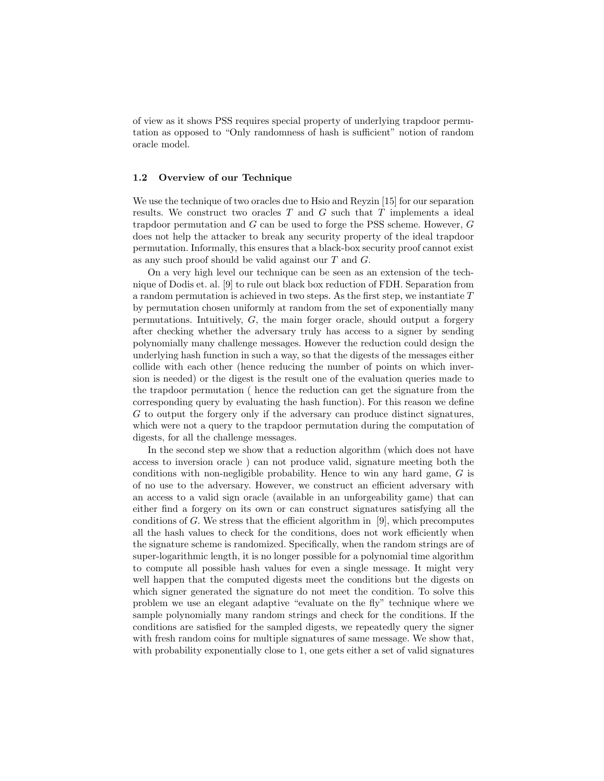of view as it shows PSS requires special property of underlying trapdoor permutation as opposed to "Only randomness of hash is sufficient" notion of random oracle model.

#### 1.2 Overview of our Technique

We use the technique of two oracles due to Hsio and Reyzin [15] for our separation results. We construct two oracles  $T$  and  $G$  such that  $T$  implements a ideal trapdoor permutation and G can be used to forge the PSS scheme. However, G does not help the attacker to break any security property of the ideal trapdoor permutation. Informally, this ensures that a black-box security proof cannot exist as any such proof should be valid against our T and G.

On a very high level our technique can be seen as an extension of the technique of Dodis et. al. [9] to rule out black box reduction of FDH. Separation from a random permutation is achieved in two steps. As the first step, we instantiate T by permutation chosen uniformly at random from the set of exponentially many permutations. Intuitively, G, the main forger oracle, should output a forgery after checking whether the adversary truly has access to a signer by sending polynomially many challenge messages. However the reduction could design the underlying hash function in such a way, so that the digests of the messages either collide with each other (hence reducing the number of points on which inversion is needed) or the digest is the result one of the evaluation queries made to the trapdoor permutation ( hence the reduction can get the signature from the corresponding query by evaluating the hash function). For this reason we define G to output the forgery only if the adversary can produce distinct signatures, which were not a query to the trapdoor permutation during the computation of digests, for all the challenge messages.

In the second step we show that a reduction algorithm (which does not have access to inversion oracle ) can not produce valid, signature meeting both the conditions with non-negligible probability. Hence to win any hard game, G is of no use to the adversary. However, we construct an efficient adversary with an access to a valid sign oracle (available in an unforgeability game) that can either find a forgery on its own or can construct signatures satisfying all the conditions of  $G$ . We stress that the efficient algorithm in [9], which precomputes all the hash values to check for the conditions, does not work efficiently when the signature scheme is randomized. Specifically, when the random strings are of super-logarithmic length, it is no longer possible for a polynomial time algorithm to compute all possible hash values for even a single message. It might very well happen that the computed digests meet the conditions but the digests on which signer generated the signature do not meet the condition. To solve this problem we use an elegant adaptive "evaluate on the fly" technique where we sample polynomially many random strings and check for the conditions. If the conditions are satisfied for the sampled digests, we repeatedly query the signer with fresh random coins for multiple signatures of same message. We show that, with probability exponentially close to 1, one gets either a set of valid signatures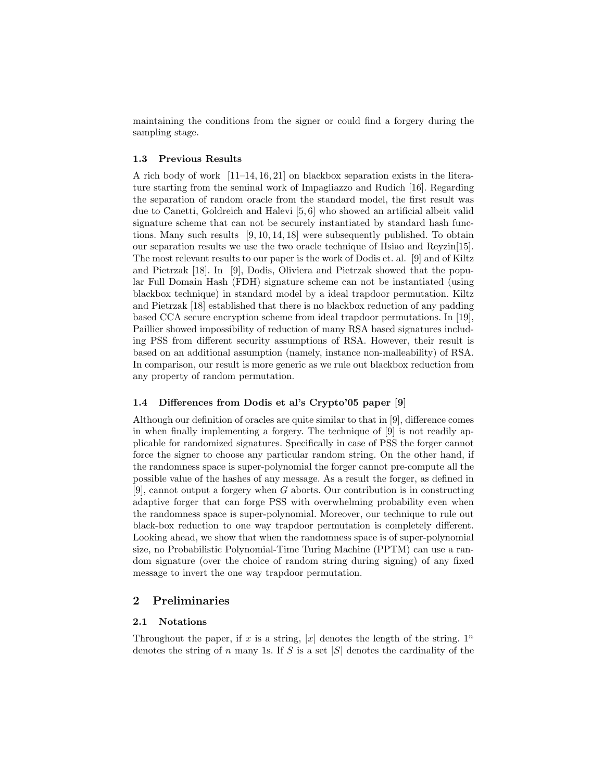maintaining the conditions from the signer or could find a forgery during the sampling stage.

#### 1.3 Previous Results

A rich body of work  $[11-14, 16, 21]$  on blackbox separation exists in the literature starting from the seminal work of Impagliazzo and Rudich [16]. Regarding the separation of random oracle from the standard model, the first result was due to Canetti, Goldreich and Halevi [5, 6] who showed an artificial albeit valid signature scheme that can not be securely instantiated by standard hash functions. Many such results [9, 10, 14, 18] were subsequently published. To obtain our separation results we use the two oracle technique of Hsiao and Reyzin[15]. The most relevant results to our paper is the work of Dodis et. al. [9] and of Kiltz and Pietrzak [18]. In [9], Dodis, Oliviera and Pietrzak showed that the popular Full Domain Hash (FDH) signature scheme can not be instantiated (using blackbox technique) in standard model by a ideal trapdoor permutation. Kiltz and Pietrzak [18] established that there is no blackbox reduction of any padding based CCA secure encryption scheme from ideal trapdoor permutations. In [19], Paillier showed impossibility of reduction of many RSA based signatures including PSS from different security assumptions of RSA. However, their result is based on an additional assumption (namely, instance non-malleability) of RSA. In comparison, our result is more generic as we rule out blackbox reduction from any property of random permutation.

#### 1.4 Differences from Dodis et al's Crypto'05 paper [9]

Although our definition of oracles are quite similar to that in [9], difference comes in when finally implementing a forgery. The technique of [9] is not readily applicable for randomized signatures. Specifically in case of PSS the forger cannot force the signer to choose any particular random string. On the other hand, if the randomness space is super-polynomial the forger cannot pre-compute all the possible value of the hashes of any message. As a result the forger, as defined in [9], cannot output a forgery when G aborts. Our contribution is in constructing adaptive forger that can forge PSS with overwhelming probability even when the randomness space is super-polynomial. Moreover, our technique to rule out black-box reduction to one way trapdoor permutation is completely different. Looking ahead, we show that when the randomness space is of super-polynomial size, no Probabilistic Polynomial-Time Turing Machine (PPTM) can use a random signature (over the choice of random string during signing) of any fixed message to invert the one way trapdoor permutation.

#### 2 Preliminaries

#### 2.1 Notations

Throughout the paper, if x is a string, |x| denotes the length of the string.  $1^n$ denotes the string of n many 1s. If S is a set  $|S|$  denotes the cardinality of the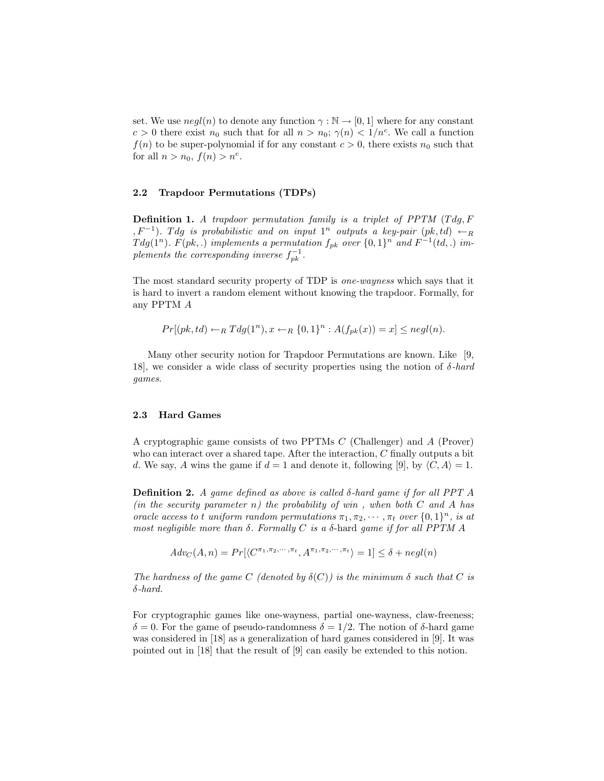set. We use  $negl(n)$  to denote any function  $\gamma : \mathbb{N} \to [0,1]$  where for any constant  $c > 0$  there exist  $n_0$  such that for all  $n > n_0$ ;  $\gamma(n) < 1/n^c$ . We call a function  $f(n)$  to be super-polynomial if for any constant  $c > 0$ , there exists  $n_0$  such that for all  $n > n_0$ ,  $f(n) > n^c$ .

#### 2.2 Trapdoor Permutations (TDPs)

**Definition 1.** A trapdoor permutation family is a triplet of PPTM (Tdg, F)  $(F^{-1})$ . Tdg is probabilistic and on input 1<sup>n</sup> outputs a key-pair  $(pk, td) \leftarrow_R$  $Tdg(1^n)$ .  $F(pk,.)$  implements a permutation  $f_{pk}$  over  $\{0,1\}^n$  and  $F^{-1}(td,.)$  implements the corresponding inverse  $f_{pk}^{-1}$ .

The most standard security property of TDP is one-wayness which says that it is hard to invert a random element without knowing the trapdoor. Formally, for any PPTM A

$$
Pr[(pk, td) \leftarrow_R Tdg(1^n), x \leftarrow_R \{0, 1\}^n : A(f_{pk}(x)) = x] \leq negl(n).
$$

Many other security notion for Trapdoor Permutations are known. Like [9, 18], we consider a wide class of security properties using the notion of  $\delta$ -hard games.

#### 2.3 Hard Games

A cryptographic game consists of two PPTMs C (Challenger) and A (Prover) who can interact over a shared tape. After the interaction, C finally outputs a bit d. We say, A wins the game if  $d = 1$  and denote it, following [9], by  $\langle C, A \rangle = 1$ .

**Definition 2.** A game defined as above is called δ-hard game if for all PPT A (in the security parameter n) the probability of win, when both  $C$  and  $A$  has oracle access to t uniform random permutations  $\pi_1, \pi_2, \cdots, \pi_t$  over  $\{0, 1\}^n$ , is at most negligible more than  $\delta$ . Formally C is a  $\delta$ -hard game if for all PPTM A

 $Adv_C(A, n) = Pr[\langle C^{\pi_1, \pi_2, \cdots, \pi_t}, A^{\pi_1, \pi_2, \cdots, \pi_t} \rangle = 1] \leq \delta + negl(n)$ 

The hardness of the game C (denoted by  $\delta(C)$ ) is the minimum  $\delta$  such that C is δ-hard.

For cryptographic games like one-wayness, partial one-wayness, claw-freeness;  $\delta = 0$ . For the game of pseudo-randomness  $\delta = 1/2$ . The notion of δ-hard game was considered in [18] as a generalization of hard games considered in [9]. It was pointed out in [18] that the result of [9] can easily be extended to this notion.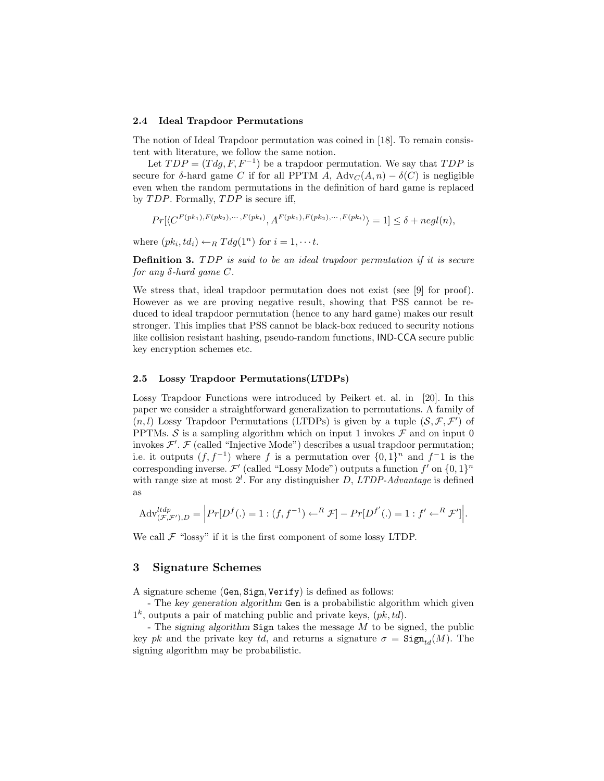#### 2.4 Ideal Trapdoor Permutations

The notion of Ideal Trapdoor permutation was coined in [18]. To remain consistent with literature, we follow the same notion.

Let  $TDP = (Tdg, F, F^{-1})$  be a trapdoor permutation. We say that  $TDP$  is secure for δ-hard game C if for all PPTM A,  $\text{Adv}_C(A, n) - \delta(C)$  is negligible even when the random permutations in the definition of hard game is replaced by  $TDP$ . Formally,  $TDP$  is secure iff,

$$
Pr[\langle C^{F(pk_1), F(pk_2), \cdots, F(pk_t)}, A^{F(pk_1), F(pk_2), \cdots, F(pk_t)} \rangle = 1] \le \delta + negl(n),
$$

where  $(pk_i, td_i) \leftarrow_R Tdg(1^n)$  for  $i = 1, \dots t$ .

**Definition 3.** TDP is said to be an ideal trapdoor permutation if it is secure for any  $\delta$ -hard game  $C$ .

We stress that, ideal trapdoor permutation does not exist (see [9] for proof). However as we are proving negative result, showing that PSS cannot be reduced to ideal trapdoor permutation (hence to any hard game) makes our result stronger. This implies that PSS cannot be black-box reduced to security notions like collision resistant hashing, pseudo-random functions, IND-CCA secure public key encryption schemes etc.

#### 2.5 Lossy Trapdoor Permutations(LTDPs)

Lossy Trapdoor Functions were introduced by Peikert et. al. in [20]. In this paper we consider a straightforward generalization to permutations. A family of  $(n, l)$  Lossy Trapdoor Permutations (LTDPs) is given by a tuple  $(S, \mathcal{F}, \mathcal{F}')$  of PPTMs.  $S$  is a sampling algorithm which on input 1 invokes  $\mathcal F$  and on input 0 invokes  $\mathcal{F}'$ .  $\mathcal{F}$  (called "Injective Mode") describes a usual trapdoor permutation; i.e. it outputs  $(f, f^{-1})$  where f is a permutation over  $\{0, 1\}^n$  and  $f^{-1}$  is the corresponding inverse.  $\mathcal{F}'$  (called "Lossy Mode") outputs a function  $f'$  on  $\{0,1\}^n$ with range size at most  $2^l$ . For any distinguisher D, LTDP-Advantage is defined as

$$
Adv_{(\mathcal{F},\mathcal{F}'),D}^{ltdp} = \left| Pr[D^f(.) = 1 : (f, f^{-1}) \leftarrow^R \mathcal{F}] - Pr[D^{f'}(.) = 1 : f' \leftarrow^R \mathcal{F}'] \right|.
$$

We call  $\mathcal F$  "lossy" if it is the first component of some lossy LTDP.

## 3 Signature Schemes

A signature scheme (Gen, Sign, Verify) is defined as follows:

- The key generation algorithm Gen is a probabilistic algorithm which given  $1^k$ , outputs a pair of matching public and private keys,  $(pk, td)$ .

- The signing algorithm Sign takes the message M to be signed, the public key pk and the private key td, and returns a signature  $\sigma = \text{Sign}_{td}(M)$ . The signing algorithm may be probabilistic.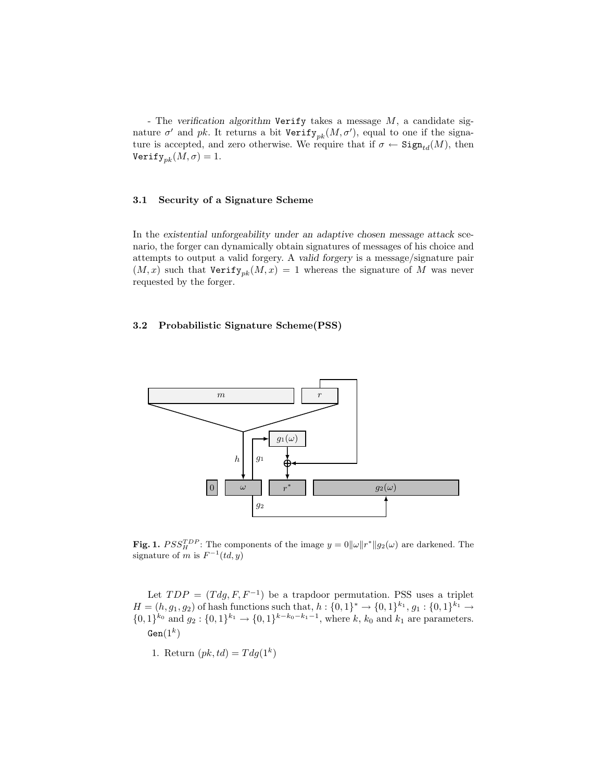- The verification algorithm Verify takes a message M, a candidate signature  $\sigma'$  and pk. It returns a bit  $Verify_{pk}(M, \sigma')$ , equal to one if the signature is accepted, and zero otherwise. We require that if  $\sigma \leftarrow \text{Sign}_{td}(M)$ , then Verify<sub>pk</sub> $(M, \sigma) = 1$ .

#### 3.1 Security of a Signature Scheme

In the existential unforgeability under an adaptive chosen message attack scenario, the forger can dynamically obtain signatures of messages of his choice and attempts to output a valid forgery. A valid forgery is a message/signature pair  $(M, x)$  such that  $Verify_{pk}(M, x) = 1$  whereas the signature of M was never requested by the forger.

### 3.2 Probabilistic Signature Scheme(PSS)



**Fig. 1.**  $PSS_H^{TDP}$ : The components of the image  $y = 0 \|\omega\| r^* \| g_2(\omega)$  are darkened. The signature of m is  $F^{-1}(td, y)$ 

Let  $TDP = (Tdg, F, F^{-1})$  be a trapdoor permutation. PSS uses a triplet  $H = (h, g_1, g_2)$  of hash functions such that,  $h: \{0, 1\}^* \to \{0, 1\}^{k_1}, g_1: \{0, 1\}^{k_1} \to$  $\{0,1\}^{k_0}$  and  $g_2: \{0,1\}^{k_1} \to \{0,1\}^{k-k_0-k_1-1}$ , where k, k<sub>0</sub> and k<sub>1</sub> are parameters.  $\mathtt{Gen}(1^k)$ 

1. Return  $(pk, td) = Tdg(1^k)$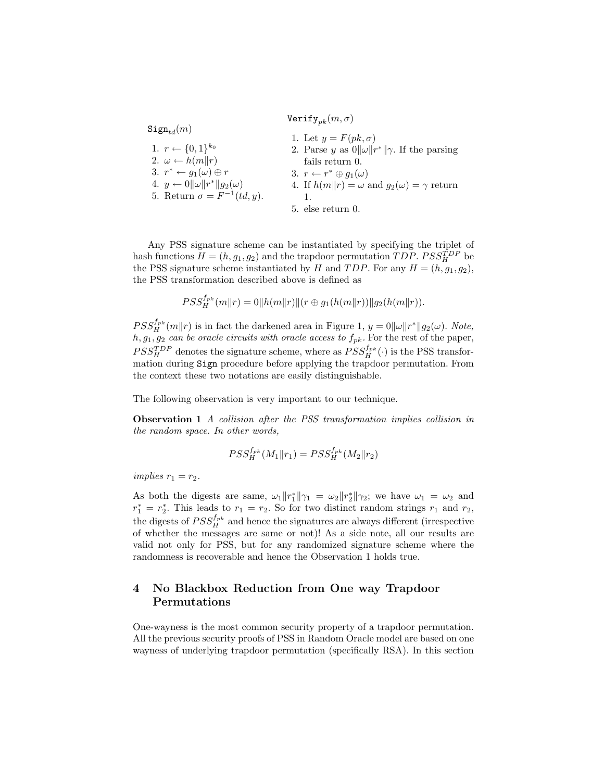$Sign_{td}(m)$ 1.  $r \leftarrow \{0, 1\}^{k_0}$ 2.  $\omega \leftarrow \hat{h}(m||r)$ 3.  $r^* \leftarrow g_1(\omega) \oplus r$ 4.  $y \leftarrow 0 \|\omega\| r^* \| g_2(\omega)$ 5. Return  $\sigma = F^{-1}(td, y)$ .  $\mathtt{Verify}_{pk}(m, \sigma)$ 1. Let  $y = F(pk, \sigma)$ 2. Parse y as  $0||\omega||r^*||\gamma$ . If the parsing fails return 0. 3.  $r \leftarrow r^* \oplus g_1(\omega)$ 4. If  $h(m||r) = \omega$  and  $g_2(\omega) = \gamma$  return 1. 5. else return 0.

Any PSS signature scheme can be instantiated by specifying the triplet of hash functions  $H = (h, g_1, g_2)$  and the trapdoor permutation  $TDP$ .  $PSS^{TDP}_{H}$  be the PSS signature scheme instantiated by H and TDP. For any  $H = (h, g_1, g_2)$ , the PSS transformation described above is defined as

$$
PSS_H^{f_{pk}}(m||r) = 0||h(m||r)||(r \oplus g_1(h(m||r))||g_2(h(m||r)).
$$

 $PSS_H^{f_{pk}}(m||r)$  is in fact the darkened area in Figure 1,  $y = 0 \|\omega\|r^*\|g_2(\omega)$ . Note,  $h, g_1, g_2$  can be oracle circuits with oracle access to  $f_{pk}$ . For the rest of the paper,  $PSS^{TDP}_{H}$  denotes the signature scheme, where as  $PSS^{f_{pk}}_{H}(\cdot)$  is the PSS transformation during Sign procedure before applying the trapdoor permutation. From the context these two notations are easily distinguishable.

The following observation is very important to our technique.

Observation 1 A collision after the PSS transformation implies collision in the random space. In other words,

$$
PSS_H^{f_{pk}}(M_1 \| r_1) = PSS_H^{f_{pk}}(M_2 \| r_2)
$$

implies  $r_1 = r_2$ .

As both the digests are same,  $\omega_1 ||r_1^*|| \gamma_1 = \omega_2 ||r_2^*|| \gamma_2$ ; we have  $\omega_1 = \omega_2$  and  $r_1^* = r_2^*$ . This leads to  $r_1 = r_2$ . So for two distinct random strings  $r_1$  and  $r_2$ , the digests of  $PSS_H^{f_{pk}}$  and hence the signatures are always different (irrespective of whether the messages are same or not)! As a side note, all our results are valid not only for PSS, but for any randomized signature scheme where the randomness is recoverable and hence the Observation 1 holds true.

# 4 No Blackbox Reduction from One way Trapdoor Permutations

One-wayness is the most common security property of a trapdoor permutation. All the previous security proofs of PSS in Random Oracle model are based on one wayness of underlying trapdoor permutation (specifically RSA). In this section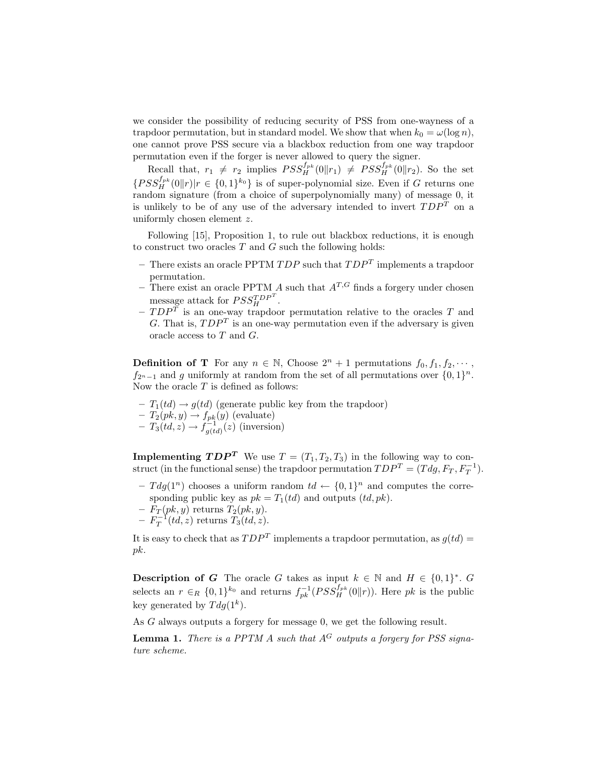we consider the possibility of reducing security of PSS from one-wayness of a trapdoor permutation, but in standard model. We show that when  $k_0 = \omega(\log n)$ , one cannot prove PSS secure via a blackbox reduction from one way trapdoor permutation even if the forger is never allowed to query the signer.

Recall that,  $r_1 \neq r_2$  implies  $PSS_H^{f_{pk}}(0||r_1) \neq PSS_H^{f_{pk}}(0||r_2)$ . So the set  $\{PSS_{H}^{f_{pk}}(0||r)|r \in \{0,1\}^{k_0}\}\$  is of super-polynomial size. Even if G returns one random signature (from a choice of superpolynomially many) of message 0, it is unlikely to be of any use of the adversary intended to invert  $TDP<sup>T</sup>$  on a uniformly chosen element z.

Following [15], Proposition 1, to rule out blackbox reductions, it is enough to construct two oracles  $T$  and  $G$  such the following holds:

- There exists an oracle PPTM  $TDP$  such that  $TDP<sup>T</sup>$  implements a trapdoor permutation.
- There exist an oracle PPTM A such that  $A^{T,G}$  finds a forgery under chosen message attack for  $PSS^{TDP^T}_{H}$ .
- $TDP^{T}$  is an one-way trapdoor permutation relative to the oracles T and G. That is,  $TDP^{T}$  is an one-way permutation even if the adversary is given oracle access to T and G.

**Definition of T** For any  $n \in \mathbb{N}$ , Choose  $2^n + 1$  permutations  $f_0, f_1, f_2, \cdots$ ,  $f_{2<sup>n</sup>-1}$  and g uniformly at random from the set of all permutations over  $\{0,1\}$ <sup>n</sup>. Now the oracle  $T$  is defined as follows:

 $- T_1(td) \rightarrow g(td)$  (generate public key from the trapdoor)  $-T_2(pk, y) \rightarrow f_{pk}(y)$  (evaluate)  $- T_3(td, z) \rightarrow f_{g(td)}^{-1}(z)$  (inversion)

**Implementing TDP**<sup>T</sup> We use  $T = (T_1, T_2, T_3)$  in the following way to construct (in the functional sense) the trapdoor permutation  $TDP^{T} = (Tdg, F_T, F_T^{-1})$ .

- $-T dg(1^n)$  chooses a uniform random  $td \leftarrow \{0,1\}^n$  and computes the corresponding public key as  $pk = T_1(td)$  and outputs  $(td, pk)$ .
- $F_T(pk, y)$  returns  $T_2(pk, y)$ .
- $F_T^{-1}(td, z)$  returns  $T_3(td, z)$ .

It is easy to check that as  $TDP^T$  implements a trapdoor permutation, as  $g(td)$  = pk.

**Description of G** The oracle G takes as input  $k \in \mathbb{N}$  and  $H \in \{0,1\}^*$ . G selects an  $r \in_R \{0,1\}^{k_0}$  and returns  $f_{pk}^{-1}(PSS_H^{f_{pk}}(0||r))$ . Here pk is the public key generated by  $T dg(1^k)$ .

As G always outputs a forgery for message 0, we get the following result.

**Lemma 1.** There is a PPTM A such that  $A^G$  outputs a forgery for PSS signature scheme.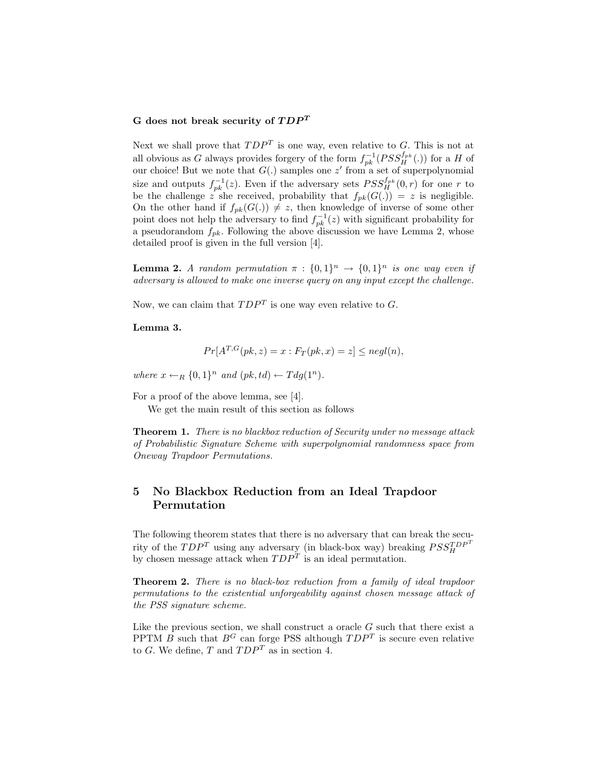## G does not break security of  $TDP^T$

Next we shall prove that  $TDP^T$  is one way, even relative to G. This is not at all obvious as G always provides forgery of the form  $f_{pk}^{-1}(PSS_{H}^{f_{pk}}(.))$  for a H of our choice! But we note that  $G(.)$  samples one z' from a set of superpolynomial size and outputs  $f_{pk}^{-1}(z)$ . Even if the adversary sets  $PSS_{H}^{f_{pk}}(0,r)$  for one r to be the challenge z she received, probability that  $f_{pk}(G(.)) = z$  is negligible. On the other hand if  $f_{pk}(G(.)) \neq z$ , then knowledge of inverse of some other point does not help the adversary to find  $f_{pk}^{-1}(z)$  with significant probability for a pseudorandom  $f_{pk}$ . Following the above discussion we have Lemma 2, whose detailed proof is given in the full version [4].

**Lemma 2.** A random permutation  $\pi : \{0,1\}^n \rightarrow \{0,1\}^n$  is one way even if adversary is allowed to make one inverse query on any input except the challenge.

Now, we can claim that  $TDP^T$  is one way even relative to G.

#### Lemma 3.

$$
Pr[A^{T,G}(pk, z) = x : F_T(pk, x) = z] \le negl(n),
$$

where  $x \leftarrow_R \{0,1\}^n$  and  $(pk, td) \leftarrow Tdg(1^n)$ .

For a proof of the above lemma, see [4].

We get the main result of this section as follows

**Theorem 1.** There is no blackbox reduction of Security under no message attack of Probabilistic Signature Scheme with superpolynomial randomness space from Oneway Trapdoor Permutations.

# 5 No Blackbox Reduction from an Ideal Trapdoor Permutation

The following theorem states that there is no adversary that can break the security of the  $TDP^T$  using any adversary (in black-box way) breaking  $PSS_H^{TDP^T}$ <br>by chosen message attack when  $TDP^T$  is an ideal permutation.

Theorem 2. There is no black-box reduction from a family of ideal trapdoor permutations to the existential unforgeability against chosen message attack of the PSS signature scheme.

Like the previous section, we shall construct a oracle  $G$  such that there exist a PPTM B such that  $B^G$  can forge PSS although  $TDP^T$  is secure even relative to G. We define, T and  $TDP^T$  as in section 4.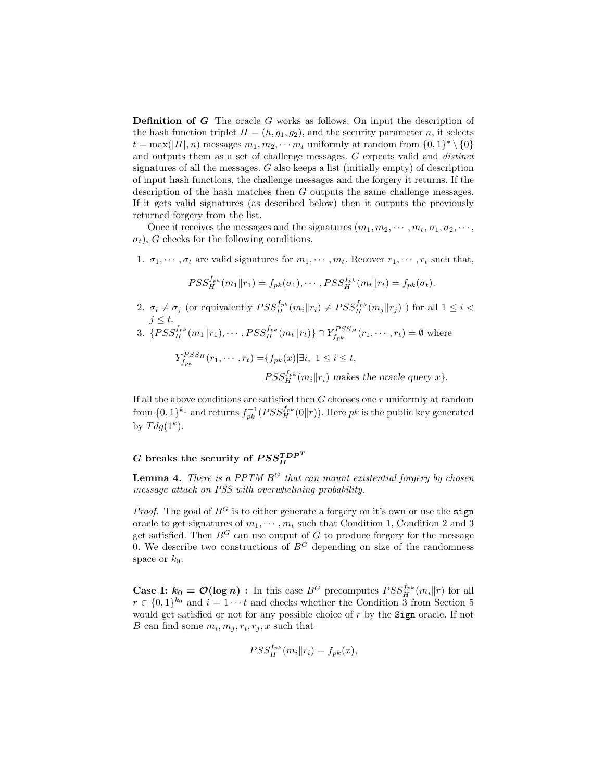**Definition of G** The oracle G works as follows. On input the description of the hash function triplet  $H = (h, g_1, g_2)$ , and the security parameter n, it selects  $t = \max(|H|, n)$  messages  $m_1, m_2, \cdots m_t$  uniformly at random from  $\{0, 1\}^* \setminus \{0\}$ and outputs them as a set of challenge messages. G expects valid and distinct signatures of all the messages.  $G$  also keeps a list (initially empty) of description of input hash functions, the challenge messages and the forgery it returns. If the description of the hash matches then G outputs the same challenge messages. If it gets valid signatures (as described below) then it outputs the previously returned forgery from the list.

Once it receives the messages and the signatures  $(m_1, m_2, \dots, m_t, \sigma_1, \sigma_2, \dots, \sigma_t)$  $\sigma_t$ ), G checks for the following conditions.

1.  $\sigma_1, \dots, \sigma_t$  are valid signatures for  $m_1, \dots, m_t$ . Recover  $r_1, \dots, r_t$  such that,

$$
PSS_{H}^{f_{pk}}(m_1||r_1) = f_{pk}(\sigma_1), \cdots, PSS_{H}^{f_{pk}}(m_t||r_t) = f_{pk}(\sigma_t).
$$

2.  $\sigma_i \neq \sigma_j$  (or equivalently  $PSS_H^{f_{pk}}(m_i||r_i) \neq PSS_H^{f_{pk}}(m_j||r_j)$ ) for all  $1 \leq i <$  $j \leq t$ . 3.  $\{PSS_H^{f_{pk}}(m_1||r_1), \cdots, PSS_H^{f_{pk}}(m_t||r_t)\} \cap Y_{f_{pk}}^{PSSH}(r_1, \cdots, r_t) = \emptyset$  where

$$
Y_{f_{pk}}^{PSS_H}(r_1, \dots, r_t) = \{f_{pk}(x) | \exists i, 1 \le i \le t,
$$
  

$$
PSS_H^{f_{pk}}(m_i || r_i) \text{ makes the oracle query } x\}.
$$

If all the above conditions are satisfied then  $G$  chooses one  $r$  uniformly at random from  $\{0,1\}^{k_0}$  and returns  $f_{pk}^{-1}(PSS^{f_{pk}}_H(0||r))$ . Here  $pk$  is the public key generated by  $Tdg(1^k)$ .

# $G$  breaks the security of  $PSS^{TDP^T}_H$

**Lemma 4.** There is a PPTM  $B^G$  that can mount existential forgery by chosen message attack on PSS with overwhelming probability.

*Proof.* The goal of  $B^G$  is to either generate a forgery on it's own or use the sign oracle to get signatures of  $m_1, \dots, m_t$  such that Condition 1, Condition 2 and 3 get satisfied. Then  $B^G$  can use output of G to produce forgery for the message 0. We describe two constructions of  $B^G$  depending on size of the randomness space or  $k_0$ .

**Case I:**  $k_0 = \mathcal{O}(\log n)$  : In this case  $B^G$  precomputes  $PSS_H^{f_{pk}}(m_i||r)$  for all  $r \in \{0,1\}^{k_0}$  and  $i = 1 \cdots t$  and checks whether the Condition 3 from Section 5 would get satisfied or not for any possible choice of  $r$  by the Sign oracle. If not B can find some  $m_i, m_j, r_i, r_j, x$  such that

$$
PSS_H^{f_{pk}}(m_i||r_i) = f_{pk}(x),
$$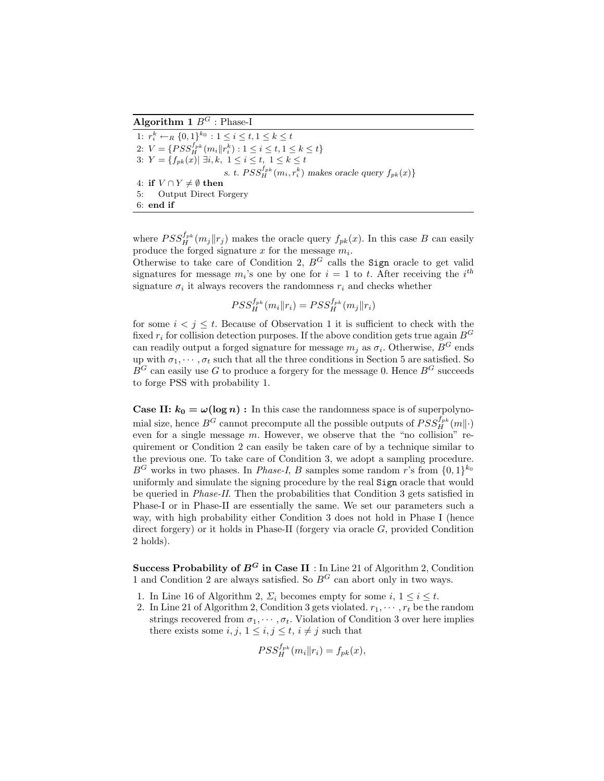Algorithm 1  $B^G$ : Phase-I

1:  $r_i^k \leftarrow_R \{0,1\}^{k_0} : 1 \leq i \leq t, 1 \leq k \leq t$ 2:  $V = \{PSS_H^{f_{pk}}(m_i || r_i^k) : 1 \le i \le t, 1 \le k \le t\}$ 3:  $Y = \{f_{pk}(x) | \exists i, k, 1 \le i \le t, 1 \le k \le t\}$ s. t.  $PSS^{f_{pk}}_H(m_i, r_i^k)$  makes oracle query  $f_{pk}(x)$ } 4: if  $V \cap Y \neq \emptyset$  then 5: Output Direct Forgery 6: end if

where  $PSS_{H}^{f_{pk}}(m_j||r_j)$  makes the oracle query  $f_{pk}(x)$ . In this case B can easily produce the forged signature x for the message  $m_i$ .

Otherwise to take care of Condition 2,  $B^G$  calls the **Sign** oracle to get valid signatures for message  $m_i$ 's one by one for  $i = 1$  to t. After receiving the  $i<sup>th</sup>$ signature  $\sigma_i$  it always recovers the randomness  $r_i$  and checks whether

$$
PSS_H^{f_{pk}}(m_i||r_i) = PSS_H^{f_{pk}}(m_j||r_i)
$$

for some  $i < j \leq t$ . Because of Observation 1 it is sufficient to check with the fixed  $r_i$  for collision detection purposes. If the above condition gets true again  $B^G$ can readily output a forged signature for message  $m_j$  as  $\sigma_i$ . Otherwise,  $B^G$  ends up with  $\sigma_1, \cdots, \sigma_t$  such that all the three conditions in Section 5 are satisfied. So  $B^G$  can easily use G to produce a forgery for the message 0. Hence  $B^G$  succeeds to forge PSS with probability 1.

**Case II:**  $k_0 = \omega(\log n)$ : In this case the randomness space is of superpolynomial size, hence  $B^G$  cannot precompute all the possible outputs of  $PSS^{f_{pk}}_H(m||\cdot)$ even for a single message  $m$ . However, we observe that the "no collision" requirement or Condition 2 can easily be taken care of by a technique similar to the previous one. To take care of Condition 3, we adopt a sampling procedure.  $B^G$  works in two phases. In *Phase-I*, *B* samples some random r's from  $\{0,1\}^{k_0}$ uniformly and simulate the signing procedure by the real Sign oracle that would be queried in Phase-II. Then the probabilities that Condition 3 gets satisfied in Phase-I or in Phase-II are essentially the same. We set our parameters such a way, with high probability either Condition 3 does not hold in Phase I (hence direct forgery) or it holds in Phase-II (forgery via oracle G, provided Condition 2 holds).

Success Probability of  $B^G$  in Case II : In Line 21 of Algorithm 2, Condition 1 and Condition 2 are always satisfied. So  $B^G$  can abort only in two ways.

- 1. In Line 16 of Algorithm 2,  $\Sigma_i$  becomes empty for some i,  $1 \leq i \leq t$ .
- 2. In Line 21 of Algorithm 2, Condition 3 gets violated.  $r_1, \dots, r_t$  be the random strings recovered from  $\sigma_1, \cdots, \sigma_t$ . Violation of Condition 3 over here implies there exists some  $i, j, 1 \leq i, j \leq t, i \neq j$  such that

$$
PSS_H^{f_{pk}}(m_i||r_i) = f_{pk}(x),
$$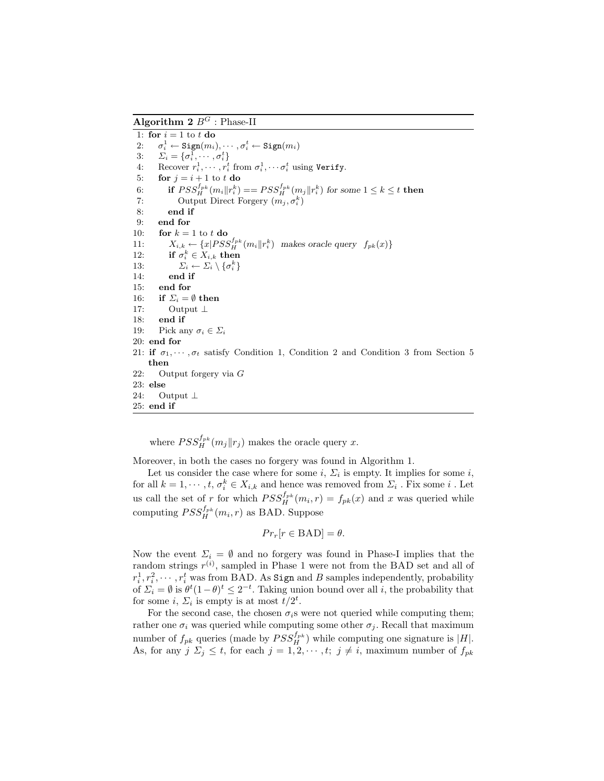Algorithm 2  $B^G$ : Phase-II

1: for  $i = 1$  to  $t$  do  $2:$  $\sigma_i^1 \leftarrow \texttt{Sign}(m_i), \cdots, \sigma_i^t \leftarrow \texttt{Sign}(m_i)$ 3:  $\Sigma_i = {\sigma_i^1, \cdots, \sigma_i^t}$ 4: Recover  $r_i^1, \cdots, r_i^t$  from  $\sigma_i^1, \cdots, \sigma_i^t$  using Verify. 5: for  $j = i + 1$  to t do 6: if  $PSS_{H}^{f_{pk}}(m_i||r_i^k) = = PSS_{H}^{f_{pk}}(m_j||r_i^k)$  for some  $1 \leq k \leq t$  then 7: Output Direct Forgery  $(m_j, \sigma_i^k)$ 8: end if 9: end for 10: for  $k = 1$  to t do 11:  $X_{i,k} \leftarrow \{x | PSS_H^{f_{pk}}(m_i || r_i^k) \text{ makes oracle query } f_{pk}(x)\}\$ 12: if  $\sigma_i^k \in X_{i,k}$  then 13:  $\Sigma_i \leftarrow \Sigma_i \setminus \{\sigma_i^k\}$ 14: end if 15: end for 16: if  $\Sigma_i = \emptyset$  then 17: Output ⊥ 18: end if 19: Pick any  $\sigma_i \in \Sigma_i$ 20: end for 21: if  $\sigma_1, \dots, \sigma_t$  satisfy Condition 1, Condition 2 and Condition 3 from Section 5 then 22: Output forgery via G 23: else 24: Output ⊥ 25: end if

where  $PSS_{H}^{f_{pk}}(m_j||r_j)$  makes the oracle query x.

Moreover, in both the cases no forgery was found in Algorithm 1.

Let us consider the case where for some  $i$ ,  $\Sigma_i$  is empty. It implies for some  $i$ , for all  $k = 1, \dots, t, \sigma_i^k \in X_{i,k}$  and hence was removed from  $\Sigma_i$ . Fix some  $i$ . Let us call the set of r for which  $PSS_H^{f_{pk}}(m_i, r) = f_{pk}(x)$  and x was queried while computing  $PSS_H^{f_{pk}}(m_i, r)$  as BAD. Suppose

$$
Pr_r[r \in BAD] = \theta.
$$

Now the event  $\Sigma_i = \emptyset$  and no forgery was found in Phase-I implies that the random strings  $r^{(i)}$ , sampled in Phase 1 were not from the BAD set and all of  $r_i^1, r_i^2, \cdots, r_i^t$  was from BAD. As **Sign** and B samples independently, probability of  $\Sigma_i = \emptyset$  is  $\theta^t (1-\theta)^t \leq 2^{-t}$ . Taking union bound over all *i*, the probability that for some *i*,  $\Sigma_i$  is empty is at most  $t/2^t$ .

For the second case, the chosen  $\sigma_i$ s were not queried while computing them; rather one  $\sigma_i$  was queried while computing some other  $\sigma_j$ . Recall that maximum number of  $f_{pk}$  queries (made by  $PSS^{f_{pk}}_H$ ) while computing one signature is |H|. As, for any  $j \Sigma_j \leq t$ , for each  $j = 1, 2, \dots, t; j \neq i$ , maximum number of  $f_{pk}$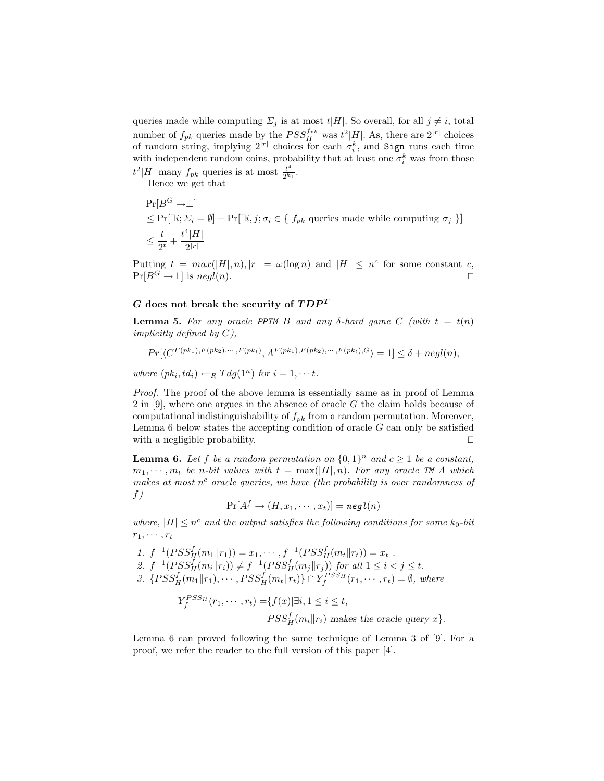queries made while computing  $\Sigma_j$  is at most  $t|H|$ . So overall, for all  $j \neq i$ , total number of  $f_{pk}$  queries made by the  $PSS_{H}^{f_{pk}}$  was  $t^2|H|$ . As, there are  $2^{|r|}$  choices of random string, implying  $2^{|r|}$  choices for each  $\sigma_i^k$ , and **Sign** runs each time with independent random coins, probability that at least one  $\sigma_i^k$  was from those  $t^2|H|$  many  $f_{pk}$  queries is at most  $\frac{t^4}{2^{k}}$  $rac{t^*}{2^{k_0}}$ .

Hence we get that

 $Pr[B^G \rightarrow \perp]$  $\leq \Pr[\exists i; \Sigma_i = \emptyset] + \Pr[\exists i, j; \sigma_i \in \{\ f_{pk} \text{ queries made while computing } \sigma_j \ \}]$  $\leq \frac{t}{\infty}$  $\frac{t}{2^t} + \frac{t^4|H|}{2^{|r|}}$  $2^{|r|}$ 

Putting  $t = max(|H|, n), |r| = \omega(\log n)$  and  $|H| \leq n^c$  for some constant c,  $Pr[B^G \rightarrow \perp]$  is  $negl(n)$ .

# G does not break the security of  $TDP^T$

**Lemma 5.** For any oracle PPTM B and any  $\delta$ -hard game C (with  $t = t(n)$ ) implicitly defined by  $C$ ),

 $Pr[\langle C^{F(pk_1), F(pk_2), \cdots, F(pk_t)}, A^{F(pk_1), F(pk_2), \cdots, F(pk_t), G} \rangle = 1] \leq \delta + negl(n),$ 

where  $(pk_i, td_i) \leftarrow_R T dg(1^n)$  for  $i = 1, \dots t$ .

Proof. The proof of the above lemma is essentially same as in proof of Lemma  $2$  in [9], where one argues in the absence of oracle  $G$  the claim holds because of computational indistinguishability of  $f_{pk}$  from a random permutation. Moreover, Lemma  $6$  below states the accepting condition of oracle  $G$  can only be satisfied with a negligible probability.  $\square$ 

**Lemma 6.** Let f be a random permutation on  $\{0,1\}^n$  and  $c \geq 1$  be a constant,  $m_1, \dots, m_t$  be n-bit values with  $t = \max(|H|, n)$ . For any oracle TM A which makes at most  $n^c$  oracle queries, we have (the probability is over randomness of f)

$$
\Pr[A^f \to (H, x_1, \cdots, x_t)] = \textit{negl}(n)
$$

where,  $|H| \leq n^c$  and the output satisfies the following conditions for some  $k_0$ -bit  $r_1, \cdots, r_t$ 

1. 
$$
f^{-1}(PSS_H^f(m_1||r_1)) = x_1, \dots, f^{-1}(PSS_H^f(m_t||r_t)) = x_t
$$
.  
\n2.  $f^{-1}(PSS_H^f(m_i||r_i)) \neq f^{-1}(PSS_H^f(m_j||r_j))$  for all  $1 \leq i < j \leq t$ .  
\n3.  $\{PSS_H^f(m_1||r_1), \dots, PSS_H^f(m_t||r_t)\} \cap Y_f^{PSS_H}(r_1, \dots, r_t) = \emptyset$ , where  
\n
$$
Y_f^{PSS_H}(r_1, \dots, r_t) = \{f(x)|\exists i, 1 \leq i \leq t,
$$

$$
PSS_{H}^{f}(m_i||r_i)
$$
 makes the oracle query x.

Lemma 6 can proved following the same technique of Lemma 3 of [9]. For a proof, we refer the reader to the full version of this paper [4].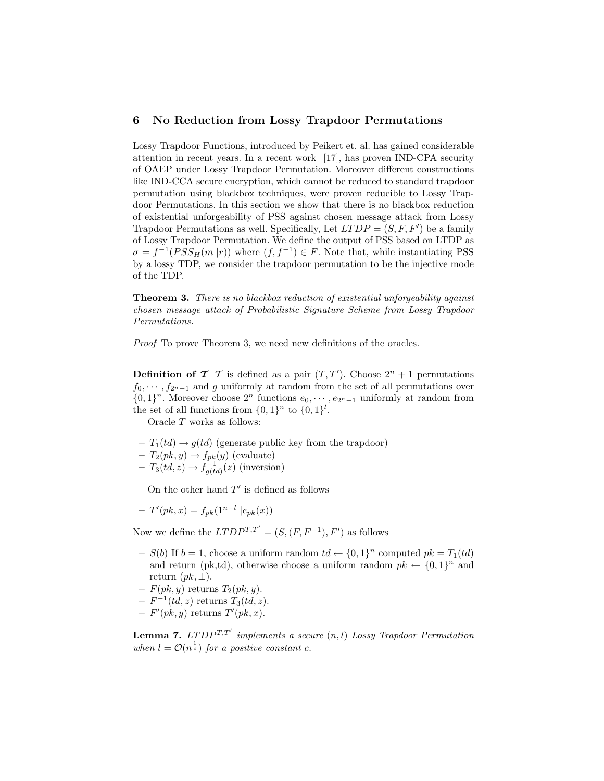## 6 No Reduction from Lossy Trapdoor Permutations

Lossy Trapdoor Functions, introduced by Peikert et. al. has gained considerable attention in recent years. In a recent work [17], has proven IND-CPA security of OAEP under Lossy Trapdoor Permutation. Moreover different constructions like IND-CCA secure encryption, which cannot be reduced to standard trapdoor permutation using blackbox techniques, were proven reducible to Lossy Trapdoor Permutations. In this section we show that there is no blackbox reduction of existential unforgeability of PSS against chosen message attack from Lossy Trapdoor Permutations as well. Specifically, Let  $LTDP = (S, F, F')$  be a family of Lossy Trapdoor Permutation. We define the output of PSS based on LTDP as  $\sigma = f^{-1}(PSS_H(m||r))$  where  $(f, f^{-1}) \in F$ . Note that, while instantiating PSS by a lossy TDP, we consider the trapdoor permutation to be the injective mode of the TDP.

Theorem 3. There is no blackbox reduction of existential unforgeability against chosen message attack of Probabilistic Signature Scheme from Lossy Trapdoor Permutations.

Proof To prove Theorem 3, we need new definitions of the oracles.

**Definition of T** T is defined as a pair  $(T, T')$ . Choose  $2^n + 1$  permutations  $f_0, \dots, f_{2^n-1}$  and g uniformly at random from the set of all permutations over  ${0,1}<sup>n</sup>$ . Moreover choose  $2<sup>n</sup>$  functions  $e_0, \dots, e_{2<sup>n</sup>-1}$  uniformly at random from the set of all functions from  $\{0,1\}^n$  to  $\{0,1\}^l$ .

Oracle T works as follows:

- $T_1(td) \rightarrow g(td)$  (generate public key from the trapdoor)
- $-T_2(pk, y) \rightarrow f_{pk}(y)$  (evaluate)
- $T_3(td, z) \rightarrow f_{g(td)}^{-1}(z)$  (inversion)

On the other hand  $T'$  is defined as follows

$$
-T'(pk, x) = f_{pk}(1^{n-l}||e_{pk}(x))
$$

Now we define the  $LTDP^{T,T'} = (S,(F, F^{-1}), F')$  as follows

- $S(b)$  If  $b = 1$ , choose a uniform random  $td \leftarrow \{0, 1\}^n$  computed  $pk = T_1(td)$ and return (pk,td), otherwise choose a uniform random  $pk \leftarrow \{0, 1\}^n$  and return  $(pk, \perp)$ .
- $F(pk, y)$  returns  $T_2(pk, y)$ .
- $F^{-1}(td, z)$  returns  $T_3(td, z)$ .
- $-F'(pk, y)$  returns  $T'(pk, x)$ .

**Lemma 7.** LTDP<sup>T,T'</sup> implements a secure  $(n, l)$  Lossy Trapdoor Permutation when  $l = \mathcal{O}(n^{\frac{1}{c}})$  for a positive constant c.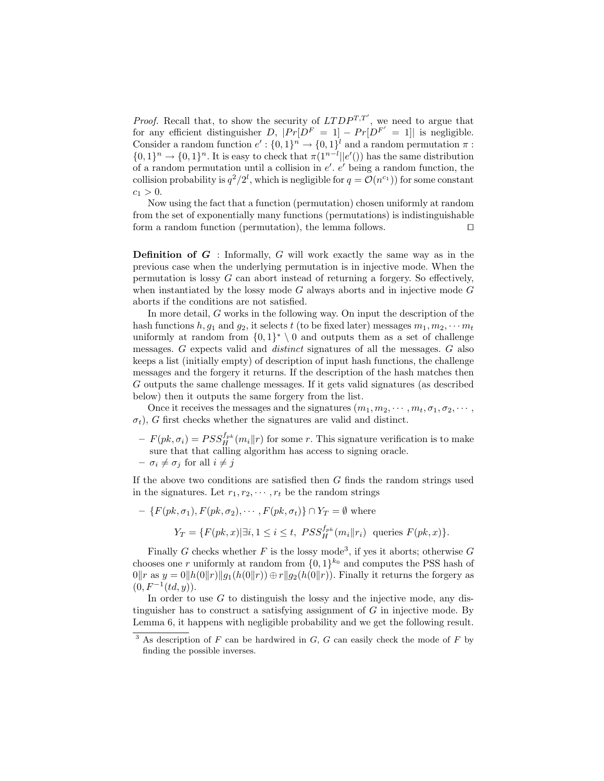*Proof.* Recall that, to show the security of  $LTDP^{T,T'}$ , we need to argue that for any efficient distinguisher  $D$ ,  $|Pr[D^F = 1] - Pr[D^{F'} = 1]|$  is negligible. Consider a random function  $e' : \{0,1\}^n \to \{0,1\}^l$  and a random permutation  $\pi$ :  $\{0,1\}^n \to \{0,1\}^n$ . It is easy to check that  $\pi(1^{n-l}||e'())$  has the same distribution of a random permutation until a collision in  $e'$ .  $e'$  being a random function, the collision probability is  $q^2/2^l$ , which is negligible for  $q = \mathcal{O}(n^{c_1})$  for some constant  $c_1 > 0$ .

Now using the fact that a function (permutation) chosen uniformly at random from the set of exponentially many functions (permutations) is indistinguishable form a random function (permutation), the lemma follows.  $\square$ 

**Definition of**  $G$  : Informally,  $G$  will work exactly the same way as in the previous case when the underlying permutation is in injective mode. When the permutation is lossy G can abort instead of returning a forgery. So effectively, when instantiated by the lossy mode  $G$  always aborts and in injective mode  $G$ aborts if the conditions are not satisfied.

In more detail, G works in the following way. On input the description of the hash functions  $h, g_1$  and  $g_2$ , it selects t (to be fixed later) messages  $m_1, m_2, \cdots m_t$ uniformly at random from  $\{0,1\}^* \setminus 0$  and outputs them as a set of challenge messages. G expects valid and distinct signatures of all the messages. G also keeps a list (initially empty) of description of input hash functions, the challenge messages and the forgery it returns. If the description of the hash matches then G outputs the same challenge messages. If it gets valid signatures (as described below) then it outputs the same forgery from the list.

Once it receives the messages and the signatures  $(m_1, m_2, \dots, m_t, \sigma_1, \sigma_2, \dots)$  $\sigma_t$ ), G first checks whether the signatures are valid and distinct.

 $-F(pk, \sigma_i) = PSS_H^{f_{pk}}(m_i||r)$  for some r. This signature verification is to make sure that that calling algorithm has access to signing oracle.  $-\sigma_i \neq \sigma_j$  for all  $i \neq j$ 

If the above two conditions are satisfied then G finds the random strings used in the signatures. Let  $r_1, r_2, \dots, r_t$  be the random strings

- 
$$
\{F(pk, \sigma_1), F(pk, \sigma_2), \cdots, F(pk, \sigma_t)\} \cap Y_T = \emptyset
$$
 where  

$$
Y_T = \{F(pk, x) | \exists i, 1 \le i \le t, \; PSS_H^{f_{pk}}(m_i || r_i) \text{ queries } F(pk, x) \}.
$$

Finally G checks whether F is the lossy mode<sup>3</sup>, if yes it aborts; otherwise G chooses one r uniformly at random from  $\{0,1\}^{k_0}$  and computes the PSS hash of  $0||r$  as  $y = 0||h(0||r)||g_1(h(0||r)) \oplus r||g_2(h(0||r))$ . Finally it returns the forgery as  $(0, F^{-1}(td, y)).$ 

In order to use  $G$  to distinguish the lossy and the injective mode, any distinguisher has to construct a satisfying assignment of G in injective mode. By Lemma 6, it happens with negligible probability and we get the following result.

<sup>&</sup>lt;sup>3</sup> As description of F can be hardwired in  $G$ ,  $G$  can easily check the mode of F by finding the possible inverses.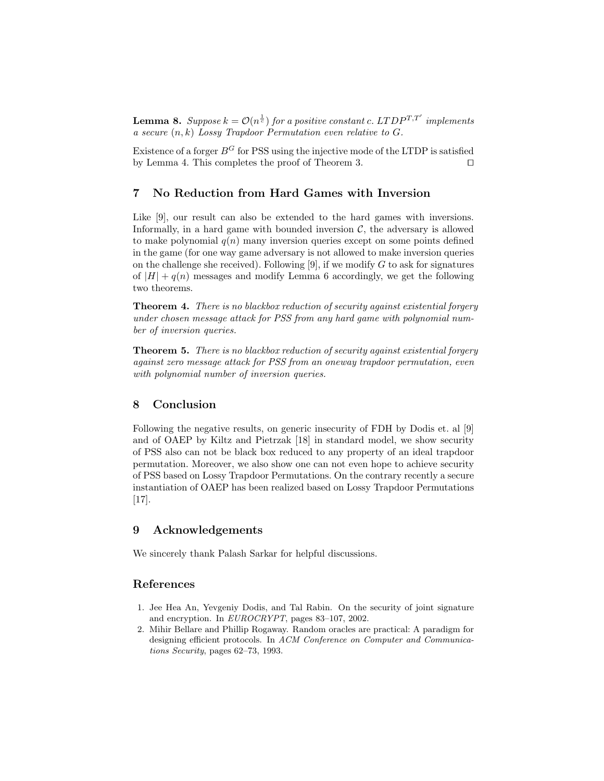**Lemma 8.** Suppose  $k = \mathcal{O}(n^{\frac{1}{c}})$  for a positive constant c. LTDP<sup>T,T'</sup> implements a secure  $(n, k)$  Lossy Trapdoor Permutation even relative to G.

Existence of a forger  $B^G$  for PSS using the injective mode of the LTDP is satisfied by Lemma 4. This completes the proof of Theorem 3.  $\hfill \Box$ 

## 7 No Reduction from Hard Games with Inversion

Like [9], our result can also be extended to the hard games with inversions. Informally, in a hard game with bounded inversion  $C$ , the adversary is allowed to make polynomial  $q(n)$  many inversion queries except on some points defined in the game (for one way game adversary is not allowed to make inversion queries on the challenge she received). Following  $[9]$ , if we modify G to ask for signatures of  $|H| + q(n)$  messages and modify Lemma 6 accordingly, we get the following two theorems.

**Theorem 4.** There is no blackbox reduction of security against existential forgery under chosen message attack for PSS from any hard game with polynomial number of inversion queries.

**Theorem 5.** There is no blackbox reduction of security against existential forgery against zero message attack for PSS from an oneway trapdoor permutation, even with polynomial number of inversion queries.

# 8 Conclusion

Following the negative results, on generic insecurity of FDH by Dodis et. al [9] and of OAEP by Kiltz and Pietrzak [18] in standard model, we show security of PSS also can not be black box reduced to any property of an ideal trapdoor permutation. Moreover, we also show one can not even hope to achieve security of PSS based on Lossy Trapdoor Permutations. On the contrary recently a secure instantiation of OAEP has been realized based on Lossy Trapdoor Permutations [17].

## 9 Acknowledgements

We sincerely thank Palash Sarkar for helpful discussions.

## References

- 1. Jee Hea An, Yevgeniy Dodis, and Tal Rabin. On the security of joint signature and encryption. In EUROCRYPT, pages 83–107, 2002.
- 2. Mihir Bellare and Phillip Rogaway. Random oracles are practical: A paradigm for designing efficient protocols. In ACM Conference on Computer and Communications Security, pages 62–73, 1993.